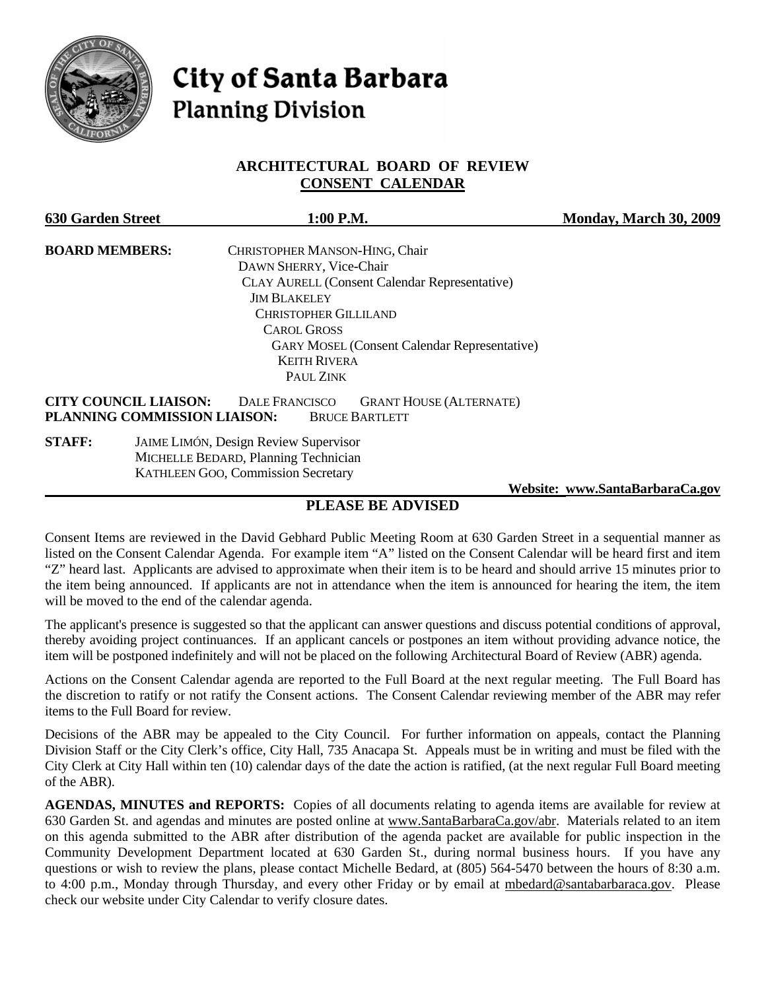

# **City of Santa Barbara Planning Division**

# **ARCHITECTURAL BOARD OF REVIEW CONSENT CALENDAR**

| <b>630 Garden Street</b> | 1:00 P.M.                                                                                                                                        | Monday, March 30, 2009 |  |
|--------------------------|--------------------------------------------------------------------------------------------------------------------------------------------------|------------------------|--|
| <b>BOARD MEMBERS:</b>    | CHRISTOPHER MANSON-HING, Chair                                                                                                                   |                        |  |
|                          | DAWN SHERRY, Vice-Chair                                                                                                                          |                        |  |
|                          | <b>CLAY AURELL (Consent Calendar Representative)</b>                                                                                             |                        |  |
|                          | <b>JIM BLAKELEY</b>                                                                                                                              |                        |  |
|                          | <b>CHRISTOPHER GILLILAND</b>                                                                                                                     |                        |  |
| <b>CAROL GROSS</b>       |                                                                                                                                                  |                        |  |
|                          | <b>GARY MOSEL (Consent Calendar Representative)</b>                                                                                              |                        |  |
|                          | <b>KEITH RIVERA</b>                                                                                                                              |                        |  |
|                          | PAUL ZINK                                                                                                                                        |                        |  |
|                          | <b>CITY COUNCIL LIAISON:</b><br><b>DALE FRANCISCO</b><br><b>GRANT HOUSE (ALTERNATE)</b><br>PLANNING COMMISSION LIAISON:<br><b>BRUCE BARTLETT</b> |                        |  |
| <b>STAFF:</b>            | <b>JAIME LIMÓN, Design Review Supervisor</b><br>MICHELLE BEDARD, Planning Technician<br><b>KATHLEEN GOO, Commission Secretary</b>                |                        |  |

 **Website: [www.SantaBarbaraCa.gov](http://www.santabarbaraca.gov/)**

# **PLEASE BE ADVISED**

Consent Items are reviewed in the David Gebhard Public Meeting Room at 630 Garden Street in a sequential manner as listed on the Consent Calendar Agenda. For example item "A" listed on the Consent Calendar will be heard first and item "Z" heard last. Applicants are advised to approximate when their item is to be heard and should arrive 15 minutes prior to the item being announced. If applicants are not in attendance when the item is announced for hearing the item, the item will be moved to the end of the calendar agenda.

The applicant's presence is suggested so that the applicant can answer questions and discuss potential conditions of approval, thereby avoiding project continuances. If an applicant cancels or postpones an item without providing advance notice, the item will be postponed indefinitely and will not be placed on the following Architectural Board of Review (ABR) agenda.

Actions on the Consent Calendar agenda are reported to the Full Board at the next regular meeting. The Full Board has the discretion to ratify or not ratify the Consent actions. The Consent Calendar reviewing member of the ABR may refer items to the Full Board for review.

Decisions of the ABR may be appealed to the City Council. For further information on appeals, contact the Planning Division Staff or the City Clerk's office, City Hall, 735 Anacapa St. Appeals must be in writing and must be filed with the City Clerk at City Hall within ten (10) calendar days of the date the action is ratified, (at the next regular Full Board meeting of the ABR).

**AGENDAS, MINUTES and REPORTS:** Copies of all documents relating to agenda items are available for review at 630 Garden St. and agendas and minutes are posted online at [www.SantaBarbaraCa.gov/abr.](http://www.santabarbaraca.gov/abr) Materials related to an item on this agenda submitted to the ABR after distribution of the agenda packet are available for public inspection in the Community Development Department located at 630 Garden St., during normal business hours. If you have any questions or wish to review the plans, please contact Michelle Bedard, at (805) 564-5470 between the hours of 8:30 a.m. to 4:00 p.m., Monday through Thursday, and every other Friday or by email at [mbedard@santabarbaraca.gov.](mailto:mbedard@santabarbaraca.gov) Please check our website under City Calendar to verify closure dates.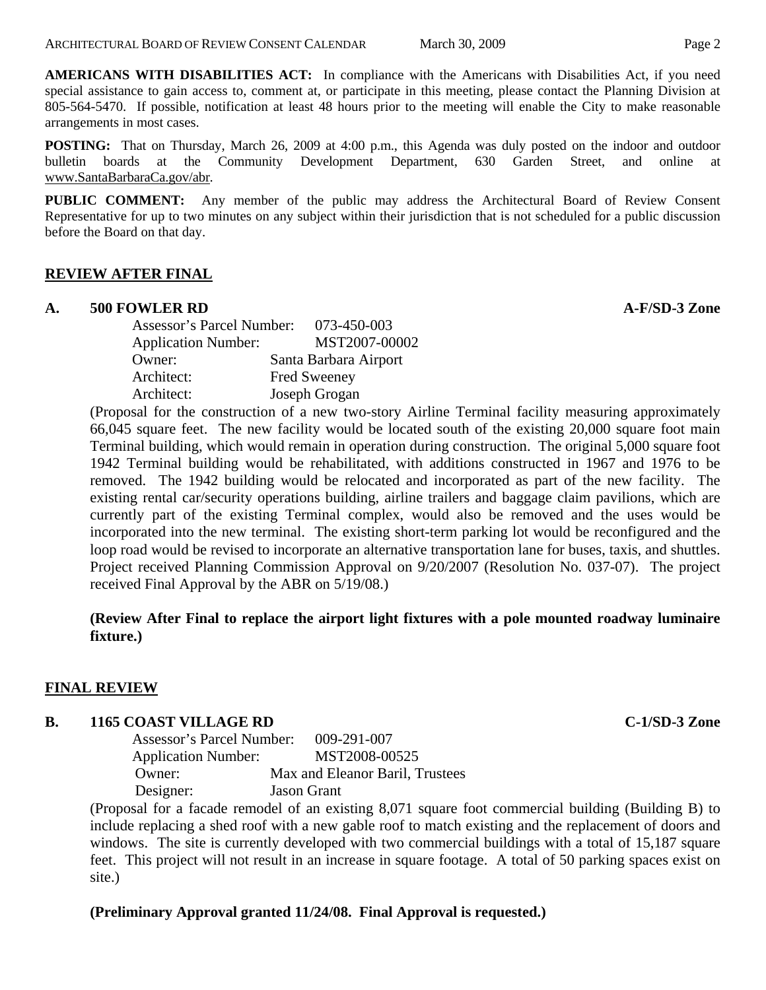**AMERICANS WITH DISABILITIES ACT:** In compliance with the Americans with Disabilities Act, if you need special assistance to gain access to, comment at, or participate in this meeting, please contact the Planning Division at 805-564-5470. If possible, notification at least 48 hours prior to the meeting will enable the City to make reasonable arrangements in most cases.

**POSTING:** That on Thursday, March 26, 2009 at 4:00 p.m., this Agenda was duly posted on the indoor and outdoor bulletin boards at the Community Development Department, 630 Garden Street, and online at [www.SantaBarbaraCa.gov/abr.](http://www.santabarbaraca.gov/abr)

**PUBLIC COMMENT:** Any member of the public may address the Architectural Board of Review Consent Representative for up to two minutes on any subject within their jurisdiction that is not scheduled for a public discussion before the Board on that day.

## **REVIEW AFTER FINAL**

#### **A. 500 FOWLER RD A-F/SD-3 Zone**

|                            | 073-450-003<br>Assessor's Parcel Number: |
|----------------------------|------------------------------------------|
| <b>Application Number:</b> | MST2007-00002                            |
| Owner:                     | Santa Barbara Airport                    |
| Architect:                 | <b>Fred Sweeney</b>                      |
| Architect:                 | Joseph Grogan                            |

(Proposal for the construction of a new two-story Airline Terminal facility measuring approximately 66,045 square feet. The new facility would be located south of the existing 20,000 square foot main Terminal building, which would remain in operation during construction. The original 5,000 square foot 1942 Terminal building would be rehabilitated, with additions constructed in 1967 and 1976 to be removed. The 1942 building would be relocated and incorporated as part of the new facility. The existing rental car/security operations building, airline trailers and baggage claim pavilions, which are currently part of the existing Terminal complex, would also be removed and the uses would be incorporated into the new terminal. The existing short-term parking lot would be reconfigured and the loop road would be revised to incorporate an alternative transportation lane for buses, taxis, and shuttles. Project received Planning Commission Approval on 9/20/2007 (Resolution No. 037-07). The project received Final Approval by the ABR on 5/19/08.)

## **(Review After Final to replace the airport light fixtures with a pole mounted roadway luminaire fixture.)**

#### **FINAL REVIEW**

## **B. 1165 COAST VILLAGE RD C-1/SD-3 Zone**

Assessor's Parcel Number: 009-291-007 Application Number: MST2008-00525 Owner: Max and Eleanor Baril, Trustees Designer: Jason Grant

(Proposal for a facade remodel of an existing 8,071 square foot commercial building (Building B) to include replacing a shed roof with a new gable roof to match existing and the replacement of doors and windows. The site is currently developed with two commercial buildings with a total of 15,187 square feet. This project will not result in an increase in square footage. A total of 50 parking spaces exist on site.)

## **(Preliminary Approval granted 11/24/08. Final Approval is requested.)**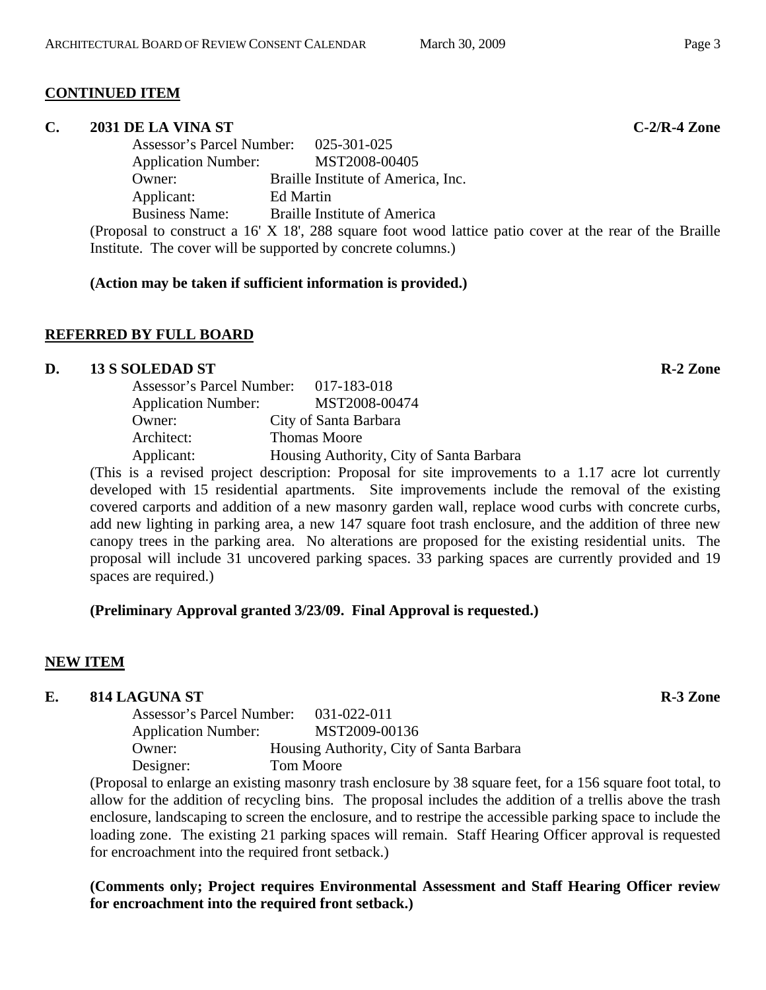## **CONTINUED ITEM**

#### **C. 2031 DE LA VINA ST C-2/R-4 Zone**

Assessor's Parcel Number: 025-301-025 Application Number: MST2008-00405 Owner: Braille Institute of America, Inc. Applicant: Ed Martin Business Name: Braille Institute of America

(Proposal to construct a 16' X 18', 288 square foot wood lattice patio cover at the rear of the Braille Institute. The cover will be supported by concrete columns.)

## **(Action may be taken if sufficient information is provided.)**

# **REFERRED BY FULL BOARD**

## **D.** 13 S SOLEDAD ST R-2 Zone

|                            | Assessor's Parcel Number: 017-183-018    |
|----------------------------|------------------------------------------|
| <b>Application Number:</b> | MST2008-00474                            |
| Owner:                     | City of Santa Barbara                    |
| Architect:                 | <b>Thomas Moore</b>                      |
| Applicant:                 | Housing Authority, City of Santa Barbara |

(This is a revised project description: Proposal for site improvements to a 1.17 acre lot currently developed with 15 residential apartments. Site improvements include the removal of the existing covered carports and addition of a new masonry garden wall, replace wood curbs with concrete curbs, add new lighting in parking area, a new 147 square foot trash enclosure, and the addition of three new canopy trees in the parking area. No alterations are proposed for the existing residential units. The proposal will include 31 uncovered parking spaces. 33 parking spaces are currently provided and 19 spaces are required.)

## **(Preliminary Approval granted 3/23/09. Final Approval is requested.)**

# **NEW ITEM**

# **E.** 814 LAGUNA ST R-3 Zone

Assessor's Parcel Number: 031-022-011 Application Number: MST2009-00136 Owner: Housing Authority, City of Santa Barbara Designer: Tom Moore

(Proposal to enlarge an existing masonry trash enclosure by 38 square feet, for a 156 square foot total, to allow for the addition of recycling bins. The proposal includes the addition of a trellis above the trash enclosure, landscaping to screen the enclosure, and to restripe the accessible parking space to include the loading zone. The existing 21 parking spaces will remain. Staff Hearing Officer approval is requested for encroachment into the required front setback.)

**(Comments only; Project requires Environmental Assessment and Staff Hearing Officer review for encroachment into the required front setback.)**